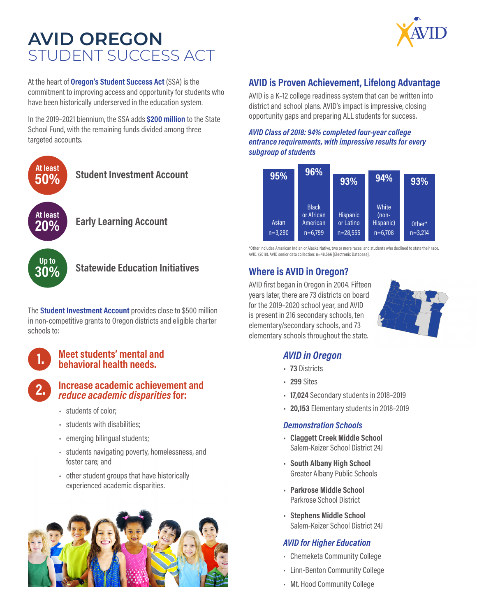# **AVID OREGON** STUDENT SUCCESS ACT

At the heart of **Oregon's Student Success Act** (SSA) is the commitment to improving access and opportunity for students who have been historically underserved in the education system.

In the 2019–2021 biennium, the SSA adds **\$200 million** to the State School Fund, with the remaining funds divided among three targeted accounts.



The **Student Investment Account** provides close to \$500 million in non-competitive grants to Oregon districts and eligible charter schools to:

### **1. Meet students' mental and behavioral health needs.**

### **2. Increase academic achievement and**  *reduce academic disparities* **for:**

- students of color;
- students with disabilities;
- emerging bilingual students;
- students navigating poverty, homelessness, and foster care; and
- other student groups that have historically experienced academic disparities.



# **AVID is Proven Achievement, Lifelong Advantage**

AVID is a K–12 college readiness system that can be written into district and school plans. AVID's impact is impressive, closing opportunity gaps and preparing ALL students for success.

#### *AVID Class of 2018: 94% completed four-year college entrance requirements, with impressive results for every subgroup of students*



\*Other includes American Indian or Alaska Native, two or more races, and students who declined to state their race. AVID. (2018). AVID senior data collection: n=48,566 [Electronic Database].

# **Where is AVID in Oregon?**

AVID first began in Oregon in 2004. Fifteen years later, there are 73 districts on board for the 2019–2020 school year, and AVID is present in 216 secondary schools, ten elementary/secondary schools, and 73 elementary schools throughout the state.



### *AVID in Oregon*

- **• 73** Districts
- **• 299** Sites
- **• 17,024** Secondary students in 2018–2019
- **• 20,153** Elementary students in 2018–2019

#### *Demonstration Schools*

- **• Claggett Creek Middle School** Salem-Keizer School District 24J
- **• South Albany High School** Greater Albany Public Schools
- **• Parkrose Middle School** Parkrose School District
- **• Stephens Middle School** Salem-Keizer School District 24J

### *AVID for Higher Education*

- Chemeketa Community College
- Linn-Benton Community College
- Mt. Hood Community College